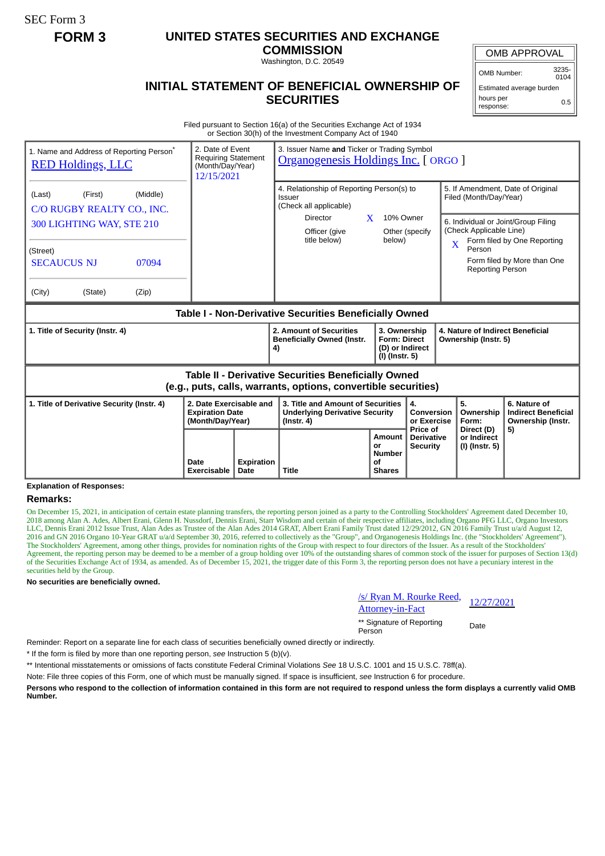SEC Form 3

# **FORM 3 UNITED STATES SECURITIES AND EXCHANGE**

**COMMISSION** Washington, D.C. 20549

OMB APPROVAL

OMB Number: 3235-  $0104$ 

## **INITIAL STATEMENT OF BENEFICIAL OWNERSHIP OF SECURITIES**

Estimated average burden hours per response: 0.5

Filed pursuant to Section 16(a) of the Securities Exchange Act of 1934 or Section 30(h) of the Investment Company Act of 1940

| 1. Name and Address of Reporting Person <sup>®</sup><br><b>RED Holdings, LLC</b>                                             | 2. Date of Event<br>3. Issuer Name and Ticker or Trading Symbol<br><b>Requiring Statement</b><br>Organogenesis Holdings Inc. [ ORGO ]<br>(Month/Day/Year)<br>12/15/2021 |                           |                                                                                                |                                                             |                                                                                                                                      |                                                                                                               |                                                             |                                                                 |  |  |
|------------------------------------------------------------------------------------------------------------------------------|-------------------------------------------------------------------------------------------------------------------------------------------------------------------------|---------------------------|------------------------------------------------------------------------------------------------|-------------------------------------------------------------|--------------------------------------------------------------------------------------------------------------------------------------|---------------------------------------------------------------------------------------------------------------|-------------------------------------------------------------|-----------------------------------------------------------------|--|--|
| (Last)<br>(First)<br>(Middle)<br>C/O RUGBY REALTY CO., INC.                                                                  |                                                                                                                                                                         |                           | 4. Relationship of Reporting Person(s) to<br>Issuer<br>(Check all applicable)                  |                                                             |                                                                                                                                      |                                                                                                               | 5. If Amendment, Date of Original<br>Filed (Month/Day/Year) |                                                                 |  |  |
| 300 LIGHTING WAY, STE 210                                                                                                    |                                                                                                                                                                         |                           | Director<br>X<br>Officer (give<br>title below)                                                 | 10% Owner<br>below)                                         | Other (specify                                                                                                                       | 6. Individual or Joint/Group Filing<br>(Check Applicable Line)<br>Form filed by One Reporting<br>$\mathbf{X}$ |                                                             |                                                                 |  |  |
| (Street)<br><b>SECAUCUS NJ</b><br>07094                                                                                      |                                                                                                                                                                         |                           |                                                                                                |                                                             |                                                                                                                                      |                                                                                                               | Person<br><b>Reporting Person</b>                           | Form filed by More than One                                     |  |  |
| (City)<br>(State)<br>(Zip)                                                                                                   |                                                                                                                                                                         |                           |                                                                                                |                                                             |                                                                                                                                      |                                                                                                               |                                                             |                                                                 |  |  |
| Table I - Non-Derivative Securities Beneficially Owned                                                                       |                                                                                                                                                                         |                           |                                                                                                |                                                             |                                                                                                                                      |                                                                                                               |                                                             |                                                                 |  |  |
| 1. Title of Security (Instr. 4)                                                                                              |                                                                                                                                                                         |                           | 2. Amount of Securities<br><b>Beneficially Owned (Instr.</b><br>4)                             |                                                             | 3. Ownership<br>4. Nature of Indirect Beneficial<br><b>Form: Direct</b><br>Ownership (Instr. 5)<br>(D) or Indirect<br>(I) (Instr. 5) |                                                                                                               |                                                             |                                                                 |  |  |
| <b>Table II - Derivative Securities Beneficially Owned</b><br>(e.g., puts, calls, warrants, options, convertible securities) |                                                                                                                                                                         |                           |                                                                                                |                                                             |                                                                                                                                      |                                                                                                               |                                                             |                                                                 |  |  |
| 1. Title of Derivative Security (Instr. 4)                                                                                   | 2. Date Exercisable and<br><b>Expiration Date</b><br>(Month/Day/Year)                                                                                                   |                           | 3. Title and Amount of Securities<br><b>Underlying Derivative Security</b><br>$($ lnstr. 4 $)$ |                                                             | 4.<br>Conversion<br>or Exercise<br>Price of                                                                                          |                                                                                                               | 5.<br>Ownership<br>Form:                                    | 6. Nature of<br><b>Indirect Beneficial</b><br>Ownership (Instr. |  |  |
|                                                                                                                              | Date<br>Exercisable                                                                                                                                                     | <b>Expiration</b><br>Date | <b>Title</b>                                                                                   | <b>Amount</b><br>or<br><b>Number</b><br>of<br><b>Shares</b> | <b>Derivative</b><br><b>Security</b>                                                                                                 |                                                                                                               | Direct (D)<br>or Indirect<br>(I) (Instr. 5)                 | 5)                                                              |  |  |

## **Explanation of Responses:**

### **Remarks:**

On December 15, 2021, in anticipation of certain estate planning transfers, the reporting person joined as a party to the Controlling Stockholders' Agreement dated December 10, 2018 among Alan A. Ades, Albert Erani, Glenn H. Nussdorf, Dennis Erani, Starr Wisdom and certain of their respective affiliates, including Organo PFG LLC, Organo Investors LLC, Dennis Erani 2012 Issue Trust, Alan Ades as Trustee of the Alan Ades 2014 GRAT, Albert Erani Family Trust dated 12/29/2012, GN 2016 Family Trust u/a/d August 12, 2016 and GN 2016 Organo 10-Year GRAT u/a/d September 30, 2016, referred to collectively as the "Group", and Organogenesis Holdings Inc. (the "Stockholders' Agreement"). The Stockholders' Agreement, among other things, provides for nomination rights of the Group with respect to four directors of the Issuer. As a result of the Stockholders' Agreement, the reporting person may be deemed to be a member of a group holding over 10% of the outstanding shares of common stock of the issuer for purposes of Section 13(d) of the Securities Exchange Act of 1934, as amended. As of December 15, 2021, the trigger date of this Form 3, the reporting person does not have a pecuniary interest in the securities held by the Group.

**No securities are beneficially owned.**

|  |  | /s/ Ryan M. Rourke Reed, |
|--|--|--------------------------|
|  |  |                          |

<u>Attorney-in-Fact</u> 12/27/2021<br>Attorney-in-Fact

\*\* Signature of Reporting Person Date

Reminder: Report on a separate line for each class of securities beneficially owned directly or indirectly.

\* If the form is filed by more than one reporting person, *see* Instruction 5 (b)(v).

\*\* Intentional misstatements or omissions of facts constitute Federal Criminal Violations *See* 18 U.S.C. 1001 and 15 U.S.C. 78ff(a).

Note: File three copies of this Form, one of which must be manually signed. If space is insufficient, *see* Instruction 6 for procedure.

**Persons who respond to the collection of information contained in this form are not required to respond unless the form displays a currently valid OMB Number.**